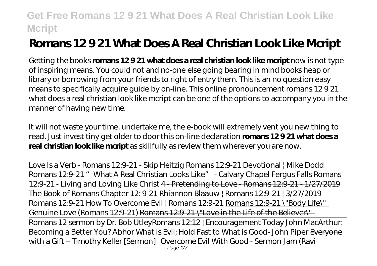# **Romans 12 9 21 What Does A Real Christian Look Like Mcript**

Getting the books **romans 12 9 21 what does a real christian look like mcript** now is not type of inspiring means. You could not and no-one else going bearing in mind books heap or library or borrowing from your friends to right of entry them. This is an no question easy means to specifically acquire guide by on-line. This online pronouncement romans 12 9 21 what does a real christian look like mcript can be one of the options to accompany you in the manner of having new time.

It will not waste your time. undertake me, the e-book will extremely vent you new thing to read. Just invest tiny get older to door this on-line declaration **romans 12 9 21 what does a** real christian look like moript as skillfully as review them wherever you are now.

Love Is a Verb - Romans 12:9-21 - Skip Heitzig *Romans 12:9-21 Devotional | Mike Dodd Romans 12:9-21 "What A Real Christian Looks Like" - Calvary Chapel Fergus Falls Romans 12:9-21 - Living and Loving Like Christ* 4 - Pretending to Love - Romans 12:9-21 - 1/27/2019 The Book of Romans Chapter 12: 9-21 *Rhiannon Blaauw | Romans 12:9-21 | 3/27/2019 Romans 12:9-21* How To Overcome Evil | Romans 12:9-21 Romans 12:9-21 \"Body Life\" Genuine Love (Romans 12:9-21) Romans 12:9-21 \"Love in the Life of the Believer\" Romans 12 sermon by Dr. Bob Utley*Romans 12:12 | Encouragement Today John MacArthur: Becoming a Better You? Abhor What is Evil; Hold Fast to What is Good- John Piper* Everyone with a Gift – Timothy Keller [Sermon] Overcome Evil With Good - Sermon Jam (Ravi Page 1/7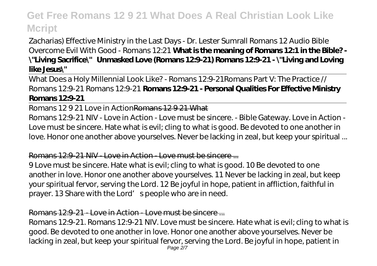## Zacharias) *Effective Ministry in the Last Days - Dr. Lester Sumrall Romans 12 Audio Bible Overcome Evil With Good - Romans 12:21* **What is the meaning of Romans 12:1 in the Bible? - \"Living Sacrifice\" Unmasked Love (Romans 12:9-21) Romans 12:9-21 - \"Living and Loving like Jesus\"**

What Does a Holy Millennial Look Like? - Romans 12:9-21*Romans Part V: The Practice // Romans 12:9-21 Romans 12:9-21* **Romans 12:9-21 - Personal Qualities For Effective Ministry Romans 12:9-21**

Romans 12 9 21 Love in ActionRomans 12 9 21 What

Romans 12:9-21 NIV - Love in Action - Love must be sincere. - Bible Gateway. Love in Action - Love must be sincere. Hate what is evil; cling to what is good. Be devoted to one another in love. Honor one another above yourselves. Never be lacking in zeal, but keep your spiritual ...

### Romans 12:9-21 NIV - Love in Action - Love must be sincere...

9 Love must be sincere. Hate what is evil; cling to what is good. 10 Be devoted to one another in love. Honor one another above yourselves. 11 Never be lacking in zeal, but keep your spiritual fervor, serving the Lord. 12 Be joyful in hope, patient in affliction, faithful in prayer. 13 Share with the Lord' speople who are in need.

#### Romans 12:9-21 - Love in Action - Love must be sincere ...

Romans 12:9-21. Romans 12:9-21 NIV. Love must be sincere. Hate what is evil; cling to what is good. Be devoted to one another in love. Honor one another above yourselves. Never be lacking in zeal, but keep your spiritual fervor, serving the Lord. Be joyful in hope, patient in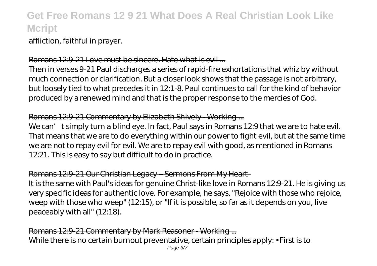affliction, faithful in prayer.

### Romans 12:9-21 Love must be sincere. Hate what is evil.

Then in verses 9-21 Paul discharges a series of rapid-fire exhortations that whiz by without much connection or clarification. But a closer look shows that the passage is not arbitrary, but loosely tied to what precedes it in 12:1-8. Paul continues to call for the kind of behavior produced by a renewed mind and that is the proper response to the mercies of God.

## Romans 12:9-21 Commentary by Elizabeth Shively - Working ...

We can' t simply turn a blind eye. In fact, Paul says in Romans 12:9 that we are to hate evil. That means that we are to do everything within our power to fight evil, but at the same time we are not to repay evil for evil. We are to repay evil with good, as mentioned in Romans 12:21. This is easy to say but difficult to do in practice.

## Romans 12:9-21 Our Christian Legacy – Sermons From My Heart

It is the same with Paul's ideas for genuine Christ-like love in Romans 12:9-21. He is giving us very specific ideas for authentic love. For example, he says, "Rejoice with those who rejoice, weep with those who weep" (12:15), or "If it is possible, so far as it depends on you, live peaceably with all" (12:18).

Romans 12:9-21 Commentary by Mark Reasoner - Working ... While there is no certain burnout preventative, certain principles apply:  $\cdot$  First is to Page 3/7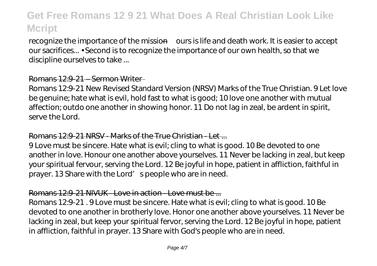recognize the importance of the mission—ours is life and death work. It is easier to accept our sacrifices... • Second is to recognize the importance of our own health, so that we discipline ourselves to take ...

#### Romans 12:9-21 – Sermon Writer

Romans 12:9-21 New Revised Standard Version (NRSV) Marks of the True Christian. 9 Let love be genuine; hate what is evil, hold fast to what is good; 10 love one another with mutual affection; outdo one another in showing honor. 11 Do not lag in zeal, be ardent in spirit, serve the Lord.

#### Romans 12:9-21 NRSV - Marks of the True Christian - Let ...

9 Love must be sincere. Hate what is evil; cling to what is good. 10 Be devoted to one another in love. Honour one another above yourselves. 11 Never be lacking in zeal, but keep your spiritual fervour, serving the Lord. 12 Be joyful in hope, patient in affliction, faithful in prayer. 13 Share with the Lord' speople who are in need.

### Romans 12:9-21 NIVUK - Love in action - Love must be ...

Romans 12:9-21 . 9 Love must be sincere. Hate what is evil; cling to what is good. 10 Be devoted to one another in brotherly love. Honor one another above yourselves. 11 Never be lacking in zeal, but keep your spiritual fervor, serving the Lord. 12 Be joyful in hope, patient in affliction, faithful in prayer. 13 Share with God's people who are in need.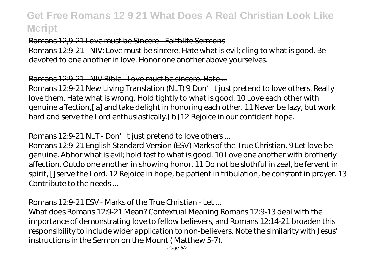### Romans 12,9-21 Love must be Sincere - Faithlife Sermons

Romans 12:9-21 - NIV: Love must be sincere. Hate what is evil; cling to what is good. Be devoted to one another in love. Honor one another above yourselves.

### Romans 12:9-21 - NIV Bible - Love must be sincere. Hate ...

Romans 12:9-21 New Living Translation (NLT) 9 Don't just pretend to love others. Really love them. Hate what is wrong. Hold tightly to what is good. 10 Love each other with genuine affection,[ a] and take delight in honoring each other. 11 Never be lazy, but work hard and serve the Lord enthusiastically.[ b] 12 Rejoice in our confident hope.

### Romans 12:9-21 NLT - Don't just pretend to love others...

Romans 12:9-21 English Standard Version (ESV) Marks of the True Christian. 9 Let love be genuine. Abhor what is evil; hold fast to what is good. 10 Love one another with brotherly affection. Outdo one another in showing honor. 11 Do not be slothful in zeal, be fervent in spirit, [] serve the Lord. 12 Rejoice in hope, be patient in tribulation, be constant in prayer. 13 Contribute to the needs ...

### Romans 12:9-21 ESV - Marks of the True Christian - Let

What does Romans 12:9-21 Mean? Contextual Meaning Romans 12:9-13 deal with the importance of demonstrating love to fellow believers, and Romans 12:14-21 broaden this responsibility to include wider application to non-believers. Note the similarity with Jesus" instructions in the Sermon on the Mount ( Matthew 5-7).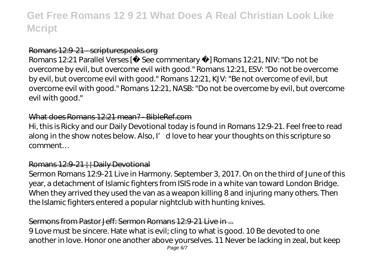#### Romans 12:9-21 - scripturespeaks.org

Romans 12:21 Parallel Verses [ See commentary | Romans 12:21, NIV: "Do not be overcome by evil, but overcome evil with good." Romans 12:21, ESV: "Do not be overcome by evil, but overcome evil with good." Romans 12:21, KJV: "Be not overcome of evil, but overcome evil with good." Romans 12:21, NASB: "Do not be overcome by evil, but overcome evil with good."

#### What does Romans 12:21 mean? - BibleRef.com

Hi, this is Ricky and our Daily Devotional today is found in Romans 12:9-21. Feel free to read along in the show notes below. Also, I'd love to hear your thoughts on this scripture so comment…

#### Romans 12:9-21 | | Daily Devotional

Sermon Romans 12:9-21 Live in Harmony. September 3, 2017. On on the third of June of this year, a detachment of Islamic fighters from ISIS rode in a white van toward London Bridge. When they arrived they used the van as a weapon killing 8 and injuring many others. Then the Islamic fighters entered a popular nightclub with hunting knives.

### Sermons from Pastor Jeff: Sermon Romans 12:0-21 Live in ...

9 Love must be sincere. Hate what is evil; cling to what is good. 10 Be devoted to one another in love. Honor one another above yourselves. 11 Never be lacking in zeal, but keep